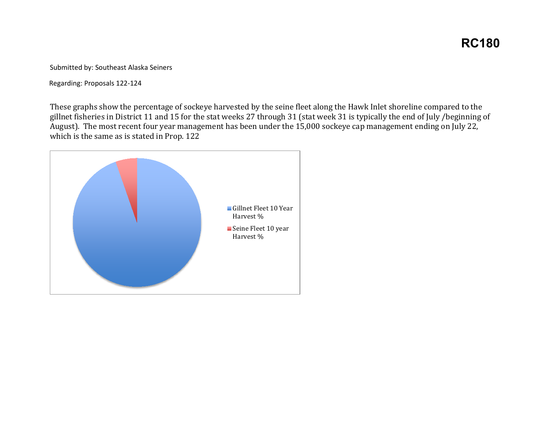Submitted by: Southeast Alaska Seiners

Regarding: Proposals 122-124

 August). The most recent four year management has been under the 15,000 sockeye cap management ending on July 22, These graphs show the percentage of sockeye harvested by the seine fleet along the Hawk Inlet shoreline compared to the gillnet fisheries in District 11 and 15 for the stat weeks 27 through 31 (stat week 31 is typically the end of July /beginning of which is the same as is stated in Prop. 122

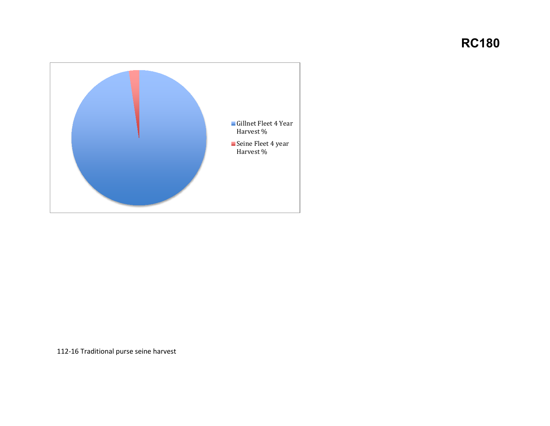

112-16 Traditional purse seine harvest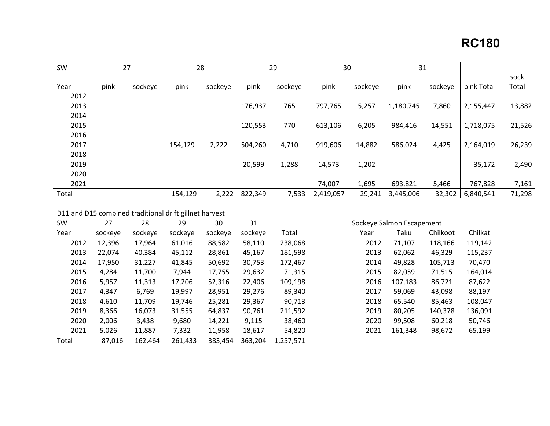| 27<br><b>SW</b> |      |         | 28      |         | 29      |         | 30        |         | 31        |         |            |               |
|-----------------|------|---------|---------|---------|---------|---------|-----------|---------|-----------|---------|------------|---------------|
| Year            | pink | sockeye | pink    | sockeye | pink    | sockeye | pink      | sockeye | pink      | sockeye | pink Total | sock<br>Total |
| 2012            |      |         |         |         |         |         |           |         |           |         |            |               |
| 2013            |      |         |         |         | 176,937 | 765     | 797,765   | 5,257   | 1,180,745 | 7,860   | 2,155,447  | 13,882        |
| 2014            |      |         |         |         |         |         |           |         |           |         |            |               |
| 2015            |      |         |         |         | 120,553 | 770     | 613,106   | 6,205   | 984,416   | 14,551  | 1,718,075  | 21,526        |
| 2016            |      |         |         |         |         |         |           |         |           |         |            |               |
| 2017            |      |         | 154,129 | 2,222   | 504,260 | 4,710   | 919,606   | 14,882  | 586,024   | 4,425   | 2,164,019  | 26,239        |
| 2018            |      |         |         |         |         |         |           |         |           |         |            |               |
| 2019            |      |         |         |         | 20,599  | 1,288   | 14,573    | 1,202   |           |         | 35,172     | 2,490         |
| 2020            |      |         |         |         |         |         |           |         |           |         |            |               |
| 2021            |      |         |         |         |         |         | 74,007    | 1,695   | 693,821   | 5,466   | 767,828    | 7,161         |
| Total           |      |         | 154,129 | 2,222   | 822,349 | 7,533   | 2,419,057 | 29,241  | 3,445,006 | 32,302  | 6,840,541  | 71,298        |

D11 and D15 combined traditional drift gillnet harvest

| <b>SW</b> | 27      | 28      | 29      | 30      | 31      | Sockeye Salmon Escapement |  |      |         |          |         |
|-----------|---------|---------|---------|---------|---------|---------------------------|--|------|---------|----------|---------|
| Year      | sockeye | sockeye | sockeye | sockeye | sockeye | Total                     |  | Year | Taku    | Chilkoot | Chilkat |
| 2012      | 12,396  | 17,964  | 61,016  | 88,582  | 58,110  | 238,068                   |  | 2012 | 71,107  | 118,166  | 119,142 |
| 2013      | 22,074  | 40,384  | 45,112  | 28,861  | 45,167  | 181,598                   |  | 2013 | 62,062  | 46,329   | 115,237 |
| 2014      | 17,950  | 31,227  | 41,845  | 50,692  | 30,753  | 172,467                   |  | 2014 | 49,828  | 105,713  | 70,470  |
| 2015      | 4,284   | 11,700  | 7,944   | 17,755  | 29,632  | 71,315                    |  | 2015 | 82,059  | 71,515   | 164,014 |
| 2016      | 5,957   | 11,313  | 17,206  | 52,316  | 22,406  | 109,198                   |  | 2016 | 107,183 | 86,721   | 87,622  |
| 2017      | 4,347   | 6,769   | 19,997  | 28,951  | 29,276  | 89,340                    |  | 2017 | 59,069  | 43,098   | 88,197  |
| 2018      | 4,610   | 11,709  | 19,746  | 25,281  | 29,367  | 90.713                    |  | 2018 | 65,540  | 85,463   | 108,047 |
| 2019      | 8,366   | 16,073  | 31,555  | 64,837  | 90,761  | 211,592                   |  | 2019 | 80,205  | 140,378  | 136,091 |
| 2020      | 2,006   | 3,438   | 9,680   | 14,221  | 9,115   | 38,460                    |  | 2020 | 99,508  | 60,218   | 50,746  |
| 2021      | 5,026   | 11,887  | 7,332   | 11,958  | 18,617  | 54,820                    |  | 2021 | 161,348 | 98,672   | 65,199  |
| Total     | 87,016  | 162,464 | 261,433 | 383,454 | 363,204 | 1,257,571                 |  |      |         |          |         |